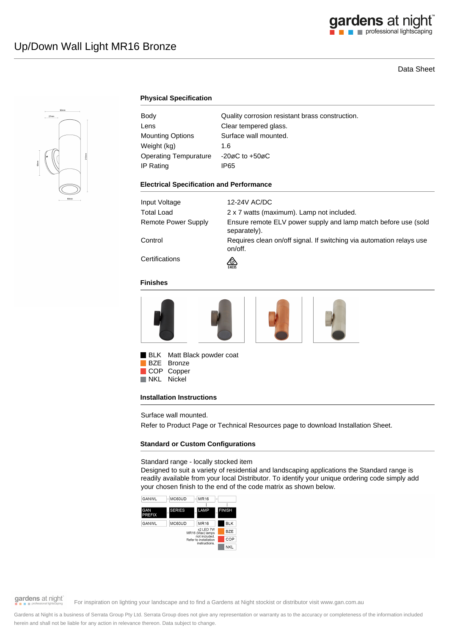# Data Sheet



## **Physical Specification**

| Body                    | Quality corrosion resistant brass construction. |
|-------------------------|-------------------------------------------------|
| Lens                    | Clear tempered glass.                           |
| <b>Mounting Options</b> | Surface wall mounted.                           |
| Weight (kg)             | 1.6                                             |
| Operating Tempurature   | $-20\varnothing$ C to $+50\varnothing$ C        |
| IP Rating               | IP65                                            |

#### **Electrical Specification and Performance**

| Input Voltage       | 12-24V AC/DC                                                                    |
|---------------------|---------------------------------------------------------------------------------|
| <b>Total Load</b>   | 2 x 7 watts (maximum). Lamp not included.                                       |
| Remote Power Supply | Ensure remote ELV power supply and lamp match before use (sold<br>separately).  |
| Control             | Requires clean on/off signal. If switching via automation relays use<br>on/off. |
| Certifications      | ∞<br>E4635                                                                      |

### **Finishes**







BLK Matt Black powder coat BZE Bronze COP Copper<br>NKL Nickel Nickel

#### **Installation Instructions**

Surface wall mounted.

Refer to Product Page or Technical Resources page to download Installation Sheet.

### **Standard or Custom Configurations**

Standard range - locally stocked item

Designed to suit a variety of residential and landscaping applications the Standard range is readily available from your local Distributor. To identify your unique ordering code simply add your chosen finish to the end of the code matrix as shown below.





# gardens at night

For inspiration on lighting your landscape and to find a Gardens at Night stockist or distributor visit www.gan.com.au

Gardens at Night is a business of Serrata Group Pty Ltd. Serrata Group does not give any representation or warranty as to the accuracy or completeness of the information included herein and shall not be liable for any action in relevance thereon. Data subject to change.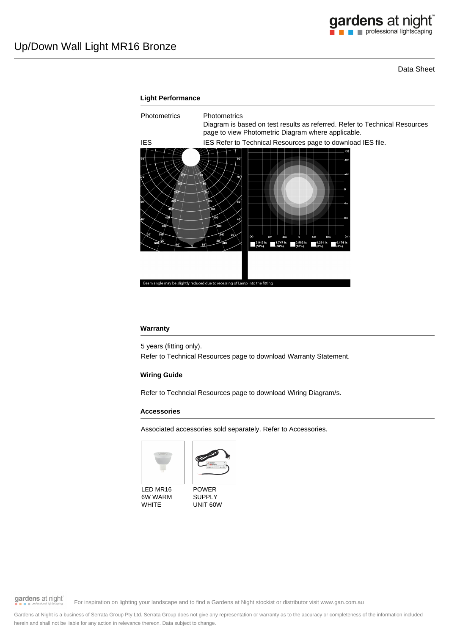Data Sheet



### **Warranty**

5 years (fitting only).

Refer to Technical Resources page to download Warranty Statement.

### **Wiring Guide**

Refer to Techncial Resources page to download Wiring Diagram/s.

### **Accessories**

Associated accessories sold separately. Refer to Accessories.





LED MR16 6W WARM WHITE

POWER SUPPLY UNIT 60W

gardens at night

For inspiration on lighting your landscape and to find a Gardens at Night stockist or distributor visit www.gan.com.au

Gardens at Night is a business of Serrata Group Pty Ltd. Serrata Group does not give any representation or warranty as to the accuracy or completeness of the information included herein and shall not be liable for any action in relevance thereon. Data subject to change.